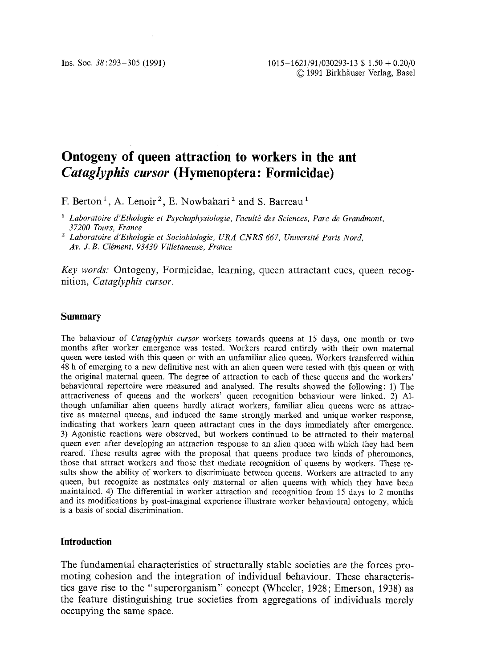# **Ontogeny of queen attraction to workers in the ant**  *Cataglyphis cursor* **(Hymenoptera: Formicidae)**

F. Berton<sup>1</sup>, A. Lenoir<sup>2</sup>, E. Nowbahari<sup>2</sup> and S. Barreau<sup>1</sup>

*Key words."* Ontogeny, Formicidae, learning, queen attractant cues, queen recognition, *Cataglyphis cursor.* 

### **Summary**

The behaviour of *Cataglyphis cursor* workers towards queens at 15 days, one month or two months after worker emergence was tested. Workers reared entirely with their own maternal queen were tested with this queen or with an unfamiliar alien queen. Workers transferred within 48 h of emerging to a new definitive nest with an alien queen were tested with this queen or with the original maternal queen. The degree of attraction to each of these queens and the workers' behavioural repertoire were measured and analysed. The results showed the following: 1) The attractiveness of queens and the workers' queen recognition behaviour were linked. 2) Although unfamiliar alien queens hardly attract workers, familiar alien queens were as attractive as maternal queens, and induced the same strongly marked and unique worker response, indicating that workers learn queen attractant cues in the days immediately after emergence. 3) Agonistic reactions were observed, but workers continued to be attracted to their maternal queen even after developing an attraction response to an alien queen with which they had been reared. These results agree with the proposal that queens produce two kinds of pheromones, those that attract workers and those that mediate recognition of queens by workers. These results show the ability of workers to discriminate between queens. Workers are attracted to any queen, but recognize as nestmates only maternal or alien queens with which they have been maintained. 4) The differential in worker attraction and recognition from 15 days to 2 months and its modifications by post-imaginal experience illustrate worker behavioural ontogeny, which is a basis of social discrimination.

### **Introduction**

The fundamental characteristics of structurally stable societies are the forces promoting cohesion and the integration of individual behaviour. These characteristics gave rise to the "superorganism" concept (Wheeler, 1928; Emerson, 1938) as the feature distinguishing true societies from aggregations of individuals merely occupying the same space.

<sup>&</sup>lt;sup>1</sup> Laboratoire d'Ethologie et Psychophysiologie, Faculté des Sciences, Parc de Grandmont, *37200 Tours, France* 

<sup>&</sup>lt;sup>2</sup> Laboratoire d'Ethologie et Sociobiologie, URA CNRS 667, Université Paris Nord, *Av. J. B. Clbment, 93430 Villetaneuse, France*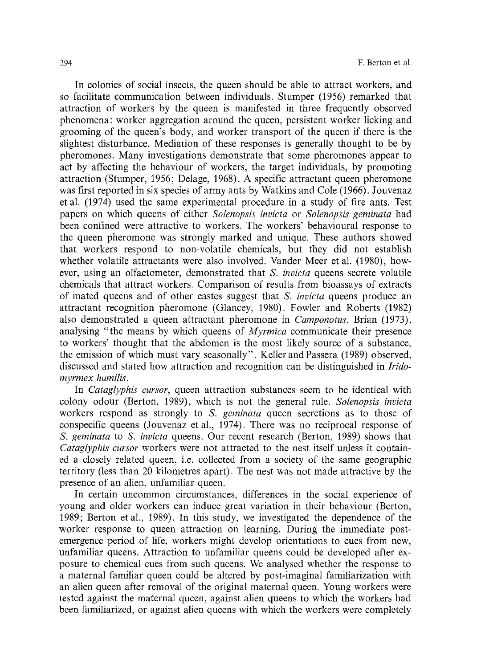In colonies of social insects, the queen should be able to attract workers, and so facilitate communication between individuals. Stumper (1956) remarked that attraction of workers by the queen is manifested in three frequently observed phenomena: worker aggregation around the queen, persistent worker licking and grooming of the queen's body, and worker transport of the queen if there is the slightest disturbance. Mediation of these responses is generally thought to be by pheromones. Many investigations demonstrate that some pheromones appear to act by affecting the behaviour of workers, the target individuals, by promoting attraction (Stumper, 1956; Delage, 1968). A specific attractant queen pheromone was first reported in six species of army ants by Watkins and Cole (1966). Jouvenaz et al. (1974) used the same experimental procedure in a study of fire ants. Test papers on which queens of either *Solenopsis invicta* or *Solenopsis geminata* had been confined were attractive to workers. The workers' behavioural response to the queen pheromone was strongly marked and unique. These authors showed that workers respond to non-volatile chemicals, but they did not establish whether volatile attractants were also involved. Vander Meer et al. (1980), however, using an olfactometer, demonstrated that *S. invicta* queens secrete volatile chemicals that attract workers. Comparison of results from bioassays of extracts of mated queens and of other castes suggest that *S. invicta* queens produce an attractant recognition pheromone (Glancey, 1980). Fowler and Roberts (1982) also demonstrated a queen attractant pheromone in *Camponotus.* Brian (1973), analysing "the means by which queens of *Myrmica* communicate their presence to workers' thought that the abdomen is the most likely source of a substance, the emission of which must vary seasonally". Keller and Passera (1989) observed, discussed and stated how attraction and recognition can be distinguished in *Iridomyrmex humilis.* 

In *Cataglyphis cursor,* queen attraction substances seem to be identical with colony odour (Berton, 1989), which is not the general rule. *Solenopsis invicta*  workers respond as strongly to *S. geminata* queen secretions as to those of conspecific queens (Jouvenaz et al., 1974). There was no reciprocal response of *S. geminata* to *S. invicta* queens. Our recent research (Berton, 1989) shows that *Cataglyphis cursor* workers were not attracted to the nest itself unless it contained a closely related queen, i.e. collected from a society of the same geographic territory (less than 20 kilometres apart). The nest was not made attractive by the presence of an alien, unfamiliar queen.

In certain uncommon circumstances, differences in the social experience of young and older workers can induce great variation in their behaviour (Berton, 1989; Berton etal., 1989). In this study, we investigated the dependence of the worker response to queen attraction on learning. During the immediate postemergence period of life, workers might develop orientations to cues from new, unfamiliar queens. Attraction to unfamiliar queens could be developed after exposure to chemical cues from such queens. We analysed whether the response to a maternal familiar queen could be altered by post-imaginal familiarization with an alien queen after removal of the original maternal queen. Young workers were tested against the maternal queen, against alien queens to which the workers had been familiarized, or against alien queens with which the workers were completely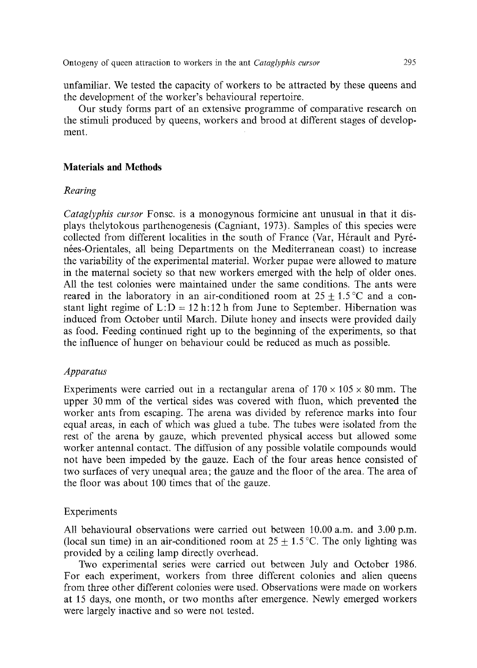unfamiliar. We tested the capacity of workers to be attracted by these queens and the development of the worker's behavioural repertoire.

Our study forms part of an extensive programme of comparative research on the stimuli produced by queens, workers and brood at different stages of development.

### **Materials and Methods**

### *Rearing*

*Cataglyphis cursor* Fonsc. is a monogynous formicine ant unusual in that it displays thelytokous parthenogenesis (Cagniant, 1973). Samples of this species were collected from different localities in the south of France (Var, Hérault and Pyrénées-Orientales, all being Departments on the Mediterranean coast) to increase the variability of the experimental material. Worker pupae were allowed to mature in the maternal society so that new workers emerged with the help of older ones. All the test colonies were maintained under the same conditions. The ants were reared in the laboratory in an air-conditioned room at  $25 + 1.5 \degree C$  and a constant light regime of  $L: D = 12 h: 12 h$  from June to September. Hibernation was induced from October until March. Dilute honey and insects were provided daily as food. Feeding continued right up to the beginning of the experiments, so that the influence of hunger on behaviour could be reduced as much as possible.

### *Apparatus*

Experiments were carried out in a rectangular arena of  $170 \times 105 \times 80$  mm. The upper 30 mm of the vertical sides was covered with fluon, which prevented the worker ants from escaping. The arena was divided by reference marks into four equal areas, in each of which was glued a tube. The tubes were isolated from the rest of the arena by gauze, which prevented physical access but allowed some worker antennal contact. The diffusion of any possible volatile compounds would not have been impeded by the gauze. Each of the four areas hence consisted of two surfaces of very unequal area; the gauze and the floor of the area. The area of the floor was about 100 times that of the gauze.

### **Experiments**

All behavioural observations were carried out between 10.00 a.m. and 3.00 p.m. (local sun time) in an air-conditioned room at  $25 \pm 1.5$  °C. The only lighting was provided by a ceiling lamp directly overhead.

Two experimental series were carried out between July and October 1986. For each experiment, workers from three different colonies and alien queens from three other different colonies were used. Observations were made on workers at 15 days, one month, or two months after emergence. Newly emerged workers were largely inactive and so were not tested.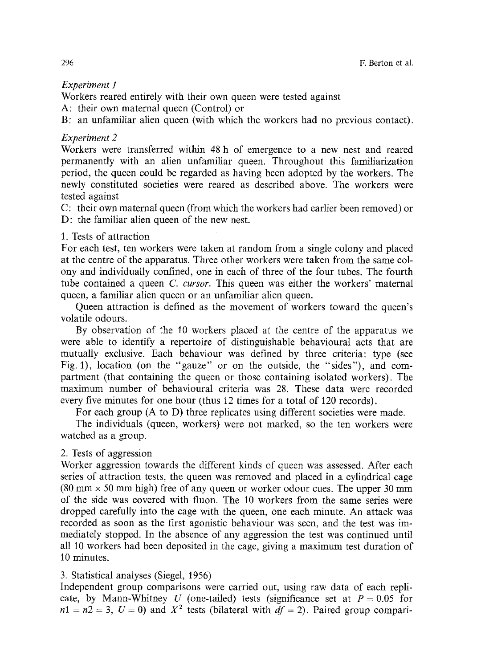# *Experiment 1*

Workers reared entirely with their own queen were tested against

A: their own maternal queen (Control) or

B: an unfamiliar alien queen (with which the workers had no previous contact).

# *Experiment 2*

Workers were transferred within 48 h of emergence to a new nest and reared permanently with an alien unfamiliar queen. Throughout this familiarization period, the queen could be regarded as having been adopted by the workers. The newly constituted societies were reared as described above. The workers were tested against

C: their own maternal queen (from which the workers had earlier been removed) or D: the familiar alien queen of the new nest.

# 1. Tests of attraction

For each test, ten workers were taken at random from a single colony and placed at the centre of the apparatus. Three other workers were taken from the same colony and individually confined, one in each of three of the four tubes. The fourth tube contained a queen *C. cursor.* This queen was either the workers' maternal queen, a familiar alien queen or an unfamiliar alien queen.

Queen attraction is defined as the movement of workers toward the queen's volatile odours.

By observation of the 10 workers placed at the centre of the apparatus we were able to identify a repertoire of distinguishable behavioural acts that are mutually exclusive. Each behaviour was defined by three criteria: type (see Fig. 1), location (on the "gauze" or on the outside, the "sides"), and compartment (that containing the queen or those containing isolated workers). The maximum number of behavioural criteria was 28. These data were recorded every five minutes for one hour (thus 12 times for a total of 120 records).

For each group (A to D) three replicates using different societies were made.

The individuals (queen, workers) were not marked, so the ten workers were watched as a group.

# 2. Tests of aggression

Worker aggression towards the different kinds of queen was assessed. After each series of attraction tests, the queen was removed and placed in a cylindrical cage  $(80 \text{ mm} \times 50 \text{ mm}$  high) free of any queen or worker odour cues. The upper 30 mm of the side was covered with fluon. The 10 workers from the same series were dropped carefully into the cage with the queen, one each minute. An attack was recorded as soon as the first agonistic behaviour was seen, and the test was immediately stopped. In the absence of any aggression the test was continued until all 10 workers had been deposited in the cage, giving a maximum test duration of 10 minutes.

# 3. Statistical analyses (Siegel, 1956)

Independent group comparisons were carried out, using raw data of each replicate, by Mann-Whitney U (one-tailed) tests (significance set at  $P = 0.05$  for  $n1 = n2 = 3$ ,  $U = 0$ ) and  $X^2$  tests (bilateral with  $df = 2$ ). Paired group compari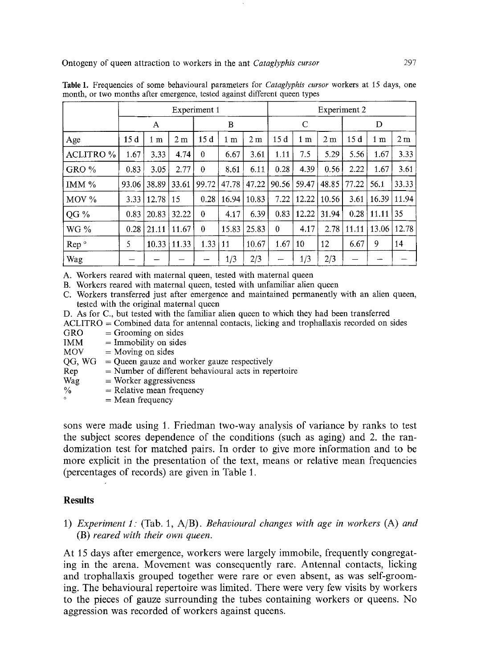Ontogeny of queen attraction to workers in the ant *Cataglyphis cursor* 297

|                  | Experiment 1 |               |                |          |       |                | Experiment 2 |                |                |       |                |       |
|------------------|--------------|---------------|----------------|----------|-------|----------------|--------------|----------------|----------------|-------|----------------|-------|
|                  | A            |               |                | в        |       |                | C            |                |                | D     |                |       |
| Age              | 15 d         | $1 \text{ m}$ | 2 <sub>m</sub> | 15d      | 1 m   | 2 <sub>m</sub> | 15d          | 1 <sub>m</sub> | 2 <sub>m</sub> | 15 d  | 1 <sub>m</sub> | 2m    |
| <b>ACLITRO</b> % | 1.67         | 3.33          | 4.74           | $\Omega$ | 6.67  | 3.61           | 1.11         | 7.5            | 5.29           | 5.56  | 1.67           | 3.33  |
| $GRO$ %          | 0.83         | 3.05          | 2.77           | $\theta$ | 8.61  | 6.11           | 0.28         | 4.39           | 0.56           | 2.22  | 1.67           | 3.61  |
| IMM $\%$         | 93.06        | 38.89         | 33.61          | 99.72    | 47.78 | 47.22          | 90.56        | 59.47          | 48.85          | 77.22 | 56.1           | 33.33 |
| MOV %            | 3.33         | 12.78         | 15             | 0.28     | 16.94 | 10.83          | 7.22         | 12.22          | 10.56          | 3.61  | 16.39          | 11.94 |
| QG %             | 0.83         | 20.83         | 32.22          | $\theta$ | 4.17  | 6.39           | 0.83         | 12.22          | 31.94          | 0.28  | 11.11          | 35    |
| $WG\%$           | 0.28         | 21.11         | 11.67          | $\theta$ | 15.83 | 25.83          | $\bf{0}$     | 4.17           | 2.78           | 11.11 | 13.06          | 12.78 |
| Rep <sup>o</sup> | 5            | 10.33         | 11.33          | 1.33     | 11    | 10.67          | 1.67         | 10             | 12             | 6.67  | 9              | 14    |
| Wag              |              |               |                |          | 1/3   | 2/3            | --           | 1/3            | 2/3            |       |                |       |

Table 1. Frequencies of some behavioural parameters for *Cataglyphis cursor* workers at 15 days, one month, or two months after emergence, tested against different queen types

A. Workers reared with maternal queen, tested with maternal queen

B. Workers reared with maternal queen, tested with unfamiliar alien queen

C. Workers transferred just after emergence and maintained permanently with an alien queen, tested with the original maternal queen

D. As for C., but tested with the familiar alien queen to which they had been transferred

 $ACLITRO = Combined data for antenna contacts. Iicking and trophallaxis recorded on sides$ 

 $=$  Grooming on sides GRO

 $=$  Immobility on sides  $IMM$ 

 $=$  Moving on sides  $MOV$ 

 $QG, WG = Q$ ueen gauze and worker gauze respectively

- $=$  Number of different behavioural acts in repertoire  $Rep$
- $=$  Worker aggressiveness Wag =
- $=$  Relative mean frequency  $\frac{0}{0}$ o
	- $=$  Mean frequency

sons were made using 1. Friedman two-way analysis of variance by ranks to test the subject scores dependence of the conditions (such as aging) and 2. the randomization test for matched pairs. In order to give more information and to be more explicit in the presentation of the text, means or relative mean frequencies (percentages of records) are given in Table 1.

# **Results**

1) *Experiment 1:* (Tab. 1, A/B). *Behavioural changes with age in workers* (A) *and*  (B) *reared with their own queen.* 

At 15 days after emergence, workers were largely immobile, frequently congregating in the arena. Movement was consequently rare. Antennal contacts, licking and trophallaxis grouped together were rare or even absent, as was self-grooming. The behavioural repertoire was limited. There were very few visits by workers to the pieces of gauze surrounding the tubes containing workers or queens. No aggression was recorded of workers against queens.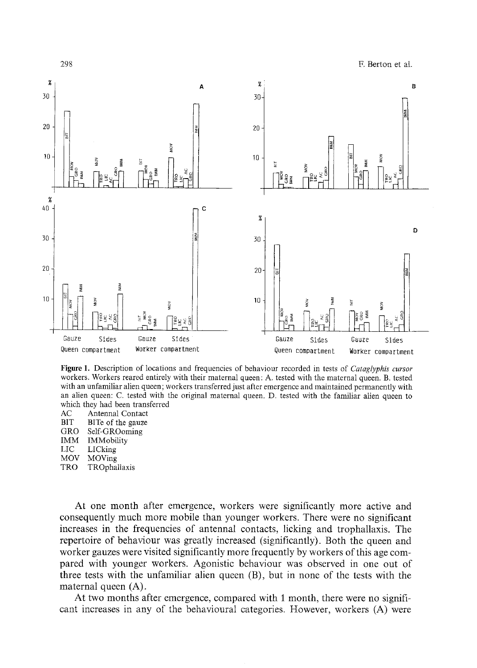

Figure 1. Description of locations and frequencies of behaviour recorded in tests of *Cataglyphis cursor*  workers. Workers reared entirely with their maternal queen: A. tested with the maternal queen. B. tested with an unfamiliar alien queen; workers transferred just after emergence and maintained permanently with an alien queen: C. tested with the original maternal queen. D. tested with the familiar alien queen to which they had been transferred

- AC Antennal Contact<br>BIT BITe of the gauze BITe of the gauze
- GRO Self-GROoming
- IMM IMMobility
- 
- LIC LICking<br>MOV MOVing **MOVing**
- TRO TROphallaxis

At one month after emergence, workers were significantly more active and consequently much more mobile than younger workers. There were no significant increases in the frequencies of antennal contacts, licking and trophallaxis. The repertoire of behaviour was greatly increased (significantly). Both the queen and worker gauzes were visited significantly more frequently by workers of this age compared with younger workers. Agonistic behaviour was observed in one out of three tests with the unfamiliar alien queen (B), but in none of the tests with the maternal queen (A).

At two months after emergence, compared with 1 month, there were no significant increases in any of the behavioural categories. However, workers (A) were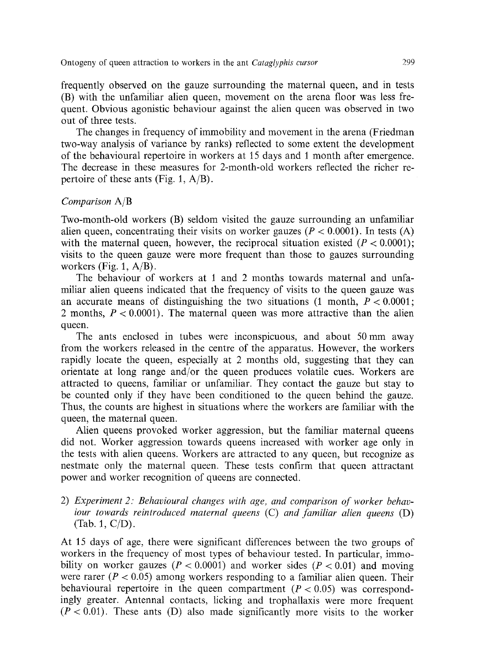Ontogeny of queen attraction to workers in the ant *Cataglyphis cursor* 299

frequently observed on the gauze surrounding the maternal queen, and in tests (B) with the unfamiliar alien queen, movement on the arena floor was less frequent. Obvious agonistic behaviour against the alien queen was observed in two out of three tests.

The changes in frequency of immobility and movement in the arena (Friedman two-way analysis of variance by ranks) reflected to some extent the development of the behavioural repertoire in workers at 15 days and I month after emergence. The decrease in these measures for 2-month-old workers reflected the richer repertoire of these ants (Fig. 1, A/B).

# *Comparison* A/B

Two-month-old workers (B) seldom visited the gauze surrounding an unfamiliar alien queen, concentrating their visits on worker gauzes ( $P < 0.0001$ ). In tests (A) with the maternal queen, however, the reciprocal situation existed  $(P < 0.0001)$ ; visits to the queen gauze were more frequent than those to gauzes surrounding workers (Fig. 1, A/B).

The behaviour of workers at 1 and 2 months towards maternal and unfamiliar alien queens indicated that the frequency of visits to the queen gauze was an accurate means of distinguishing the two situations (1 month,  $P < 0.0001$ ; 2 months,  $P < 0.0001$ ). The maternal queen was more attractive than the alien queen.

The ants enclosed in tubes were inconspicuous, and about 50 mm away from the workers released in the centre of the apparatus. However, the workers rapidly locate the queen, especially at 2 months old, suggesting that they can orientate at long range and/or the queen produces volatile cues. Workers are attracted to queens, familiar or unfamiliar. They contact the gauze but stay to be counted only if they have been conditioned to the queen behind the gauze. Thus, the counts are highest in situations where the workers are familiar with the queen, the maternal queen.

Alien queens provoked worker aggression, but the familiar maternal queens did not. Worker aggression towards queens increased with worker age only in the tests with alien queens. Workers are attracted to any queen, but recognize as nestmate only the maternal queen. These tests confirm that queen attractant power and worker recognition of queens are connected.

2) *Experiment 2." Behavioural changes with age, and comparison of worker behaviour towards reintroduced maternal queens* (C) *and familiar alien queens* (D) (Tab. 1, C/D).

At 15 days of age, there were significant differences between the two groups of workers in the frequency of most types of behaviour tested. In particular, immobility on worker gauzes ( $P < 0.0001$ ) and worker sides ( $P < 0.01$ ) and moving were rarer ( $P < 0.05$ ) among workers responding to a familiar alien queen. Their behavioural repertoire in the queen compartment  $(P < 0.05)$  was correspondingly greater. Antennal contacts, licking and trophallaxis were more frequent  $(P < 0.01)$ . These ants (D) also made significantly more visits to the worker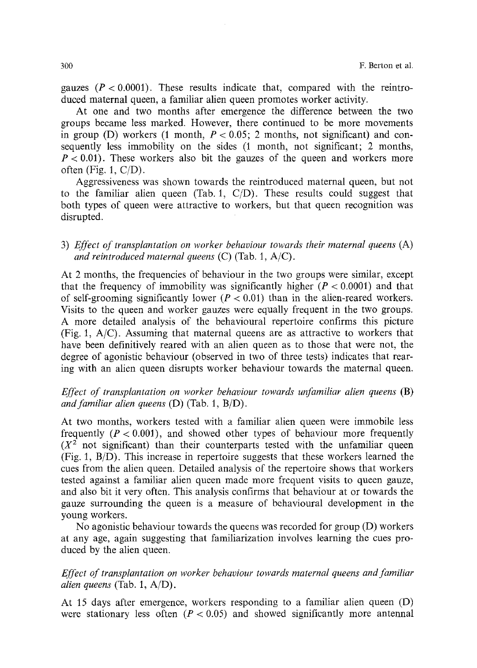gauzes ( $P < 0.0001$ ). These results indicate that, compared with the reintroduced maternal queen, a familiar alien queen promotes worker activity.

At one and two months after emergence the difference between the two groups became less marked. However, there continued to be more movements in group (D) workers (1 month,  $P < 0.05$ ; 2 months, not significant) and consequently less immobility on the sides (1 month, not significant; 2 months,  $P < 0.01$ ). These workers also bit the gauzes of the queen and workers more often (Fig. 1, C/D).

Aggressiveness was shown towards the reintroduced maternal queen, but not to the familiar alien queen (Tab. 1,  $C/D$ ). These results could suggest that both types of queen were attractive to workers, but that queen recognition was disrupted.

# 3) *Effect of transplantation on worker behaviour towards' their maternal queens* (A) *and reintroduced maternal queens* (C) (Tab. 1, A/C).

At 2 months, the frequencies of behaviour in the two groups were similar, except that the frequency of immobility was significantly higher ( $P < 0.0001$ ) and that of self-grooming significantly lower  $(P < 0.01)$  than in the alien-reared workers. Visits to the queen and worker gauzes were equally frequent in the two groups. A more detailed analysis of the behavioural repertoire confirms this picture (Fig. 1, A/C). Assuming that maternal queens are as attractive to workers that have been definitively reared with an alien queen as to those that were not, the degree of agonistic behaviour (observed in two of three tests) indicates that rearing with an alien queen disrupts worker behaviour towards the maternal queen.

# *Effect of tramplantation on worker behaviour towards unfamiliar alien queens* (B) *and familiar alien queens* (D) (Tab. 1, B/D).

At two months, workers tested with a familiar alien queen were immobile less frequently  $(P < 0.001)$ , and showed other types of behaviour more frequently  $(X<sup>2</sup>$  not significant) than their counterparts tested with the unfamiliar queen (Fig. 1, B/D). This increase in repertoire suggests that these workers learned the cues from the alien queen. Detailed analysis of the repertoire shows that workers tested against a familiar alien queen made more frequent visits to queen gauze, and also bit it very often. This analysis confirms that behaviour at or towards the gauze surrounding the queen is a measure of behavioural development in the young workers.

No agonistic behaviour towards the queens was recorded for group (D) workers at any age, again suggesting that familiarization involves learning the cues produced by the alien queen.

*Effect of transplantation on worker behaviour towards maternal queens and familiar alien queens* (Tab. 1, A/D).

At 15 days after emergence, workers responding to a familiar alien queen (D) were stationary less often  $(P < 0.05)$  and showed significantly more antennal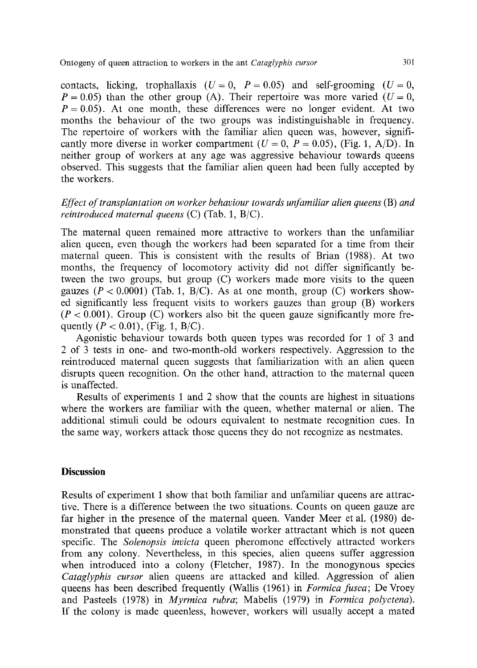contacts, licking, trophallaxis  $(U= 0, P=0.05)$  and self-grooming  $(U= 0,$  $P = 0.05$ ) than the other group (A). Their repertoire was more varied (U = 0,  $P = 0.05$ . At one month, these differences were no longer evident. At two months the behaviour of the two groups was indistinguishable in frequency. The repertoire of workers with the familiar alien queen was, however, significantly more diverse in worker compartment  $(U = 0, P = 0.05)$ , (Fig. 1, A/D). In neither group of workers at any age was aggressive behaviour towards queens observed. This suggests that the familiar alien queen had been fully accepted by the workers.

# *Effect of transplantation on worker behaviour towards unfamiliar alien queens* (B) *and reintroduced maternal queens* (C) (Tab. 1, B/C).

The maternal queen remained more attractive to workers than the unfamiliar alien queen, even though the workers had been separated for a time from their maternal queen. This is consistent with the results of Brian (1988). At two months, the frequency of locomotory activity did not differ significantly between the two groups, but group (C) workers made more visits to the queen gauzes ( $P < 0.0001$ ) (Tab. 1, B/C). As at one month, group (C) workers showed significantly less frequent visits to workers gauzes than group (B) workers  $(P < 0.001)$ . Group (C) workers also bit the queen gauze significantly more frequently  $(P < 0.01)$ , (Fig. 1, B/C).

Agonistic behaviour towards both queen types was recorded for 1 of 3 and 2 of 3 tests in one- and two-month-old workers respectively. Aggression to the reintroduced maternal queen suggests that familiarization with an alien queen disrupts queen recognition. On the other hand, attraction to the maternal queen is unaffected.

Results of experiments 1 and 2 show that the counts are highest in situations where the workers are familiar with the queen, whether maternal or alien. The additional stimuli could be odours equivalent to nestmate recognition cues. In the same way, workers attack those queens they do not recognize as nestmates.

### **Discussion**

Results of experiment 1 show that both familiar and unfamiliar queens are attractive. There is a difference between the two situations. Counts on queen gauze are far higher in the presence of the maternal queen. Vander Meer et al. (1980) demonstrated that queens produce a volatile worker attractant which is not queen specific. The *Solenopsis invicta* queen pheromone effectively attracted workers from any colony. Nevertheless, in this species, alien queens suffer aggression when introduced into a colony (Fletcher, 1987). In the monogynous species *Cataglyphis cursor* alien queens are attacked and killed. Aggression of alien queens has been described frequently (Wallis (1961) in *Formica fusea;* De Vroey and Pasteels (1978) in *Myrmica rubra;* Mabelis (1979) in *Formica polyctena).*  If the colony is made queenless, however, workers will usually accept a mated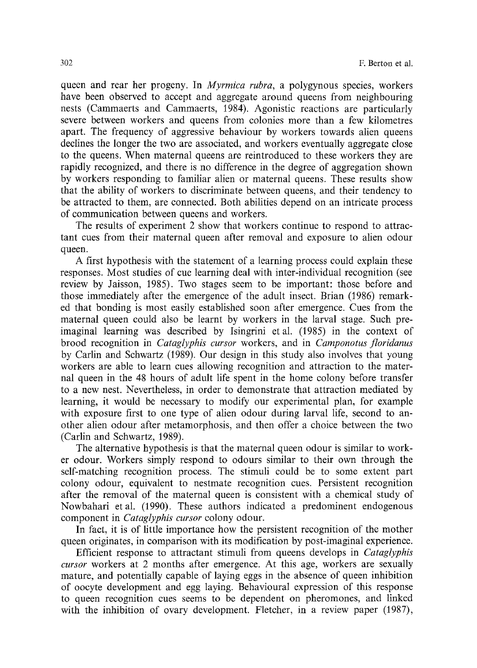queen and rear her progeny. In *Myrmica rubra,* a polygynous species, workers have been observed to accept and aggregate around queens from neighbouring nests (Cammaerts and Cammaerts, 1984). Agonistic reactions are particularly severe between workers and queens from colonies more than a few kilometres apart. The frequency of aggressive behaviour by workers towards alien queens declines the longer the two are associated, and workers eventually aggregate close to the queens. When maternal queens are reintroduced to these workers they are rapidly recognized, and there is no difference in the degree of aggregation shown by workers responding to familiar alien or maternal queens. These results show that the ability of workers to discriminate between queens, and their tendency to be attracted to them, are connected. Both abilities depend on an intricate process of communication between queens and workers.

The results of experiment 2 show that workers continue to respond to attractant cues from their maternal queen after removal and exposure to alien odour queen.

A first hypothesis with the statement of a learning process could explain these responses. Most studies of cue learning deal with inter-individual recognition (see review by Jaisson, 1985). Two stages seem to be important: those before and those immediately after the emergence of the adult insect. Brian (1986) remarked that bonding is most easily established soon after emergence. Cues from the maternal queen could also be learnt by workers in the larval stage. Such preimaginal learning was described by Isingrini etal. (1985) in the context of brood recognition in *Cataglyphis cursor* workers, and in *Camponotus floridanus*  by Carlin and Schwartz (1989). Our design in this study also involves that young workers are able to learn cues allowing recognition and attraction to the maternal queen in the 48 hours of adult life spent in the home colony before transfer to a new nest. Nevertheless, in order to demonstrate that attraction mediated by learning, it would be necessary to modify our experimental plan, for example with exposure first to one type of alien odour during larval life, second to another alien odour after metamorphosis, and then offer a choice between the two (Carlin and Schwartz, 1989).

The alternative hypothesis is that the maternal queen odour is similar to worker odour. Workers simply respond to odours similar to their own through the self-matching recognition process. The stimuli could be to some extent part colony odour, equivalent to nestmate recognition cues. Persistent recognition after the removal of the maternal queen is consistent with a chemical study of Nowbahari etal. (1990). These authors indicated a predominent endogenous component in *Cataglyphis cursor* colony odour.

In fact, it is of little importance how the persistent recognition of the mother queen originates, in comparison with its modification by post-imaginal experience.

Efficient response to attractant stimuli from queens develops in *Cataglyphis cursor* workers at 2 months after emergence. At this age, workers are sexually mature, and potentially capable of laying eggs in the absence of queen inhibition of oocyte development and egg laying. Behavioural expression of this response to queen recognition cues seems to be dependent on pheromones, and linked with the inhibition of ovary development. Fletcher, in a review paper (1987),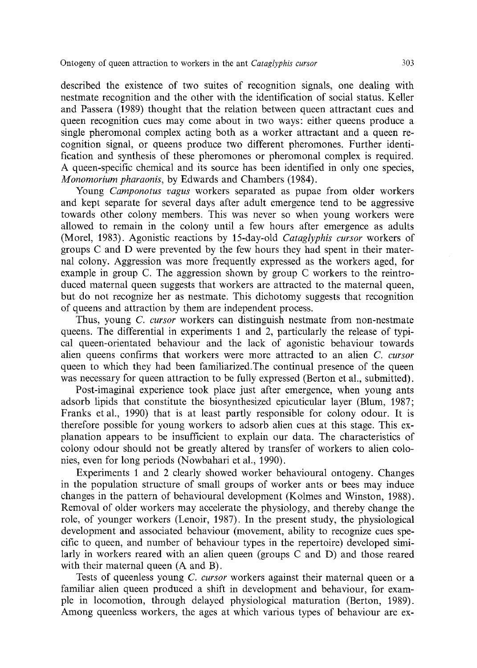described the existence of two suites of recognition signals, one dealing with nestmate recognition and the other with the identification of social status. Keller and Passera (1989) thought that the relation between queen attractant cues and queen recognition cues may come about in two ways: either queens produce a single pheromonal complex acting both as a worker attractant and a queen recognition signal, or queens produce two different pheromones. Further identification and synthesis of these pheromones or pheromonal complex is required. A queen-specific chemical and its source has been identified in only one species, *Monornorium pharaonis,* by Edwards and Chambers (1984).

Young *Camponotus vagus* workers separated as pupae from older workers and kept separate for several days after adult emergence tend to be aggressive towards other colony members. This was never so when young workers were allowed to remain in the colony until a few hours after emergence as adults (Morel, 1983). Agonistic reactions by 15-day-old *Cataglyphis cursor* workers of groups C and D were prevented by the few hours they had spent in their maternal colony. Aggression was more frequently expressed as the workers aged, for example in group C. The aggression shown by group C workers to the reintroduced maternal queen suggests that workers are attracted to the maternal queen, but do not recognize her as nestmate. This dichotomy suggests that recognition of queens and attraction by them are independent process.

Thus, young *C. cursor* workers can distinguish nestmate from non-nestmate queens. The differential in experiments 1 and 2, particularly the release of typical queen-orientated behaviour and the lack of agonistic behaviour towards alien queens confirms that workers were more attracted to an alien *C. cursor*  queen to which they had been familiarized.The continual presence of the queen was necessary for queen attraction to be fully expressed (Berton et al., submitted).

Post-imaginal experience took place just after emergence, when young ants adsorb lipids that constitute the biosynthesized epicuticular layer (Blum, 1987; Franks et al., 1990) that is at least partly responsible for colony odour. It is therefore possible for young workers to adsorb alien cues at this stage. This explanation appears to be insufficient to explain our data. The characteristics of colony odour should not be greatly altered by transfer of workers to alien colonies, even for long periods (Nowbahari et al., 1990).

Experiments 1 and 2 clearly showed worker behavioural ontogeny. Changes in the population structure of small groups of worker ants or bees may induce changes in the pattern of behavioural development (Kolmes and Winston, 1988). Removal of older workers may accelerate the physiology, and thereby change the role, of younger workers (Lenoir, 1987). In the present study, the physiological development and associated behaviour (movement, ability to recognize cues specific to queen, and number of behaviour types in the repertoire) developed similarly in workers reared with an alien queen (groups C and D) and those reared with their maternal queen (A and B).

Tests of queenless young *C. cursor* workers against their maternal queen or a familiar alien queen produced a shift in development and behaviour, for example in locomotion, through delayed physiological maturation (Berton, 1989). Among queenless workers, the ages at which various types of behaviour are ex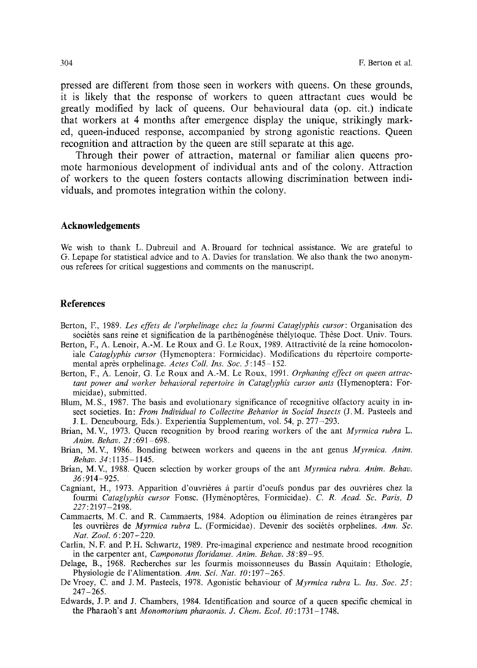pressed are different from those seen in workers with queens. On these grounds, it is likely that the response of workers to queen attractant cues would be greatly modified by lack of queens. Our behavioural data (op. cit.) indicate that workers at 4 months after emergence display the unique, strikingly marked, queen-induced response, accompanied by strong agonistic reactions. Queen recognition and attraction by the queen are still separate at this age.

Through their power of attraction, maternal or familiar alien queens promote harmonious development of individual ants and of the colony. Attraction of workers to the queen fosters contacts allowing discrimination between individuals, and promotes integration within the colony.

#### **Acknowledgements**

We wish to thank L. Dubreuil and A. Brouard for technical assistance. We are grateful to G. Lepape for statistical advice and to A. Davies for translation. We also thank the two anonymous referees for critical suggestions and comments on the manuscript.

### **References**

- Berton, F., 1989. *Les effets de l'orphelinage chez la fourmi Cataglyphis cursor:* Organisation des sociétés sans reine et signification de la parthénogénèse thélytoque. Thèse Doct. Univ. Tours.
- Berton, F., A. Lenoir, A.-M. Le Roux and G. Le Roux, 1989. Attractivité de la reine homocoloniale *Cataglyphis cursor* (Hymenoptera: Formicidae). Modifications du répertoire comportemental après orphelinage. *Actes Coll. Ins. Soc.* 5:145-152.
- Berton, E, A. Lenoir, G. Le Roux and A.-M. Le Roux, 1991. *Orphaning effect on queen attractant power and worker behavioral repertoire in Cataglyphis cursor ants (Hymenoptera: For*micidae), submitted.
- Blum, M.S., 1987. The basis and evolutionary significance of recognitive olfactory acuity in insect societies. In: *From Individual to Collective Behavior in Social Insects* (J. M. Pasteels and J.L. Deneubourg, Eds.). Experientia Supplementum, vol. 54, p. 277-293.
- Brian, M.V., 1973. Queen recognition by brood rearing workers of the ant *Myrmica rubra L. Anim. Behav. 21:691-698.*
- Brian, M.V., 1986. Bonding between workers and queens in the ant genus *Myrmica. Anim. Behav.* 34:1135-1145.
- Brian, M.V., 1988. Queen selection by worker groups of the ant *Myrmica rubra. Anim. Behav.*  36:914-925.
- Cagniant, H., 1973. Apparition d'ouvrières à partir d'oeufs pondus par des ouvrières chez la fourrni *Cataglyphis cursor* Fonsc. (Hymdnopt~res, Formicidae). *C. R. Aead. So. Paris, D 227:2197* -2198.
- Cammaerts, M.C. and R. Cammaerts, 1984. Adoption ou élimination de reines étrangères par les ouvrières de *Myrmica rubra* L. (Formicidae). Devenir des sociétés orphelines. *Ann. Sc. Nat. Zool.* 6:207-220.
- Carlin, N. E and E H. Schwartz, 1989. Pre-imaginal experience and nestmate brood recognition in the carpenter ant, *Camponotus floridanus. Anim. Behav.*  $38:89-95$ .
- Delage, B., 1968. Recherches sur les fourmis moissonneuses du Bassin Aquitain: Ethologie, Physiologic de l'Alimentation. *Ann. Set. Nat. 10* : 197-265.
- De Vroey, C. and J.M. Pasteels, 1978. Agonistic behaviour of *Myrmiea rubra L. Ins. Soc. 25:*   $247 - 265$ .
- Edwards, J. E and J. Chambers, 1984. Identification and source of a queen specific chemical in the Pharaoh's ant *Monomorium pharaonis. J. Chem. Ecol. 10:1731-1748.*